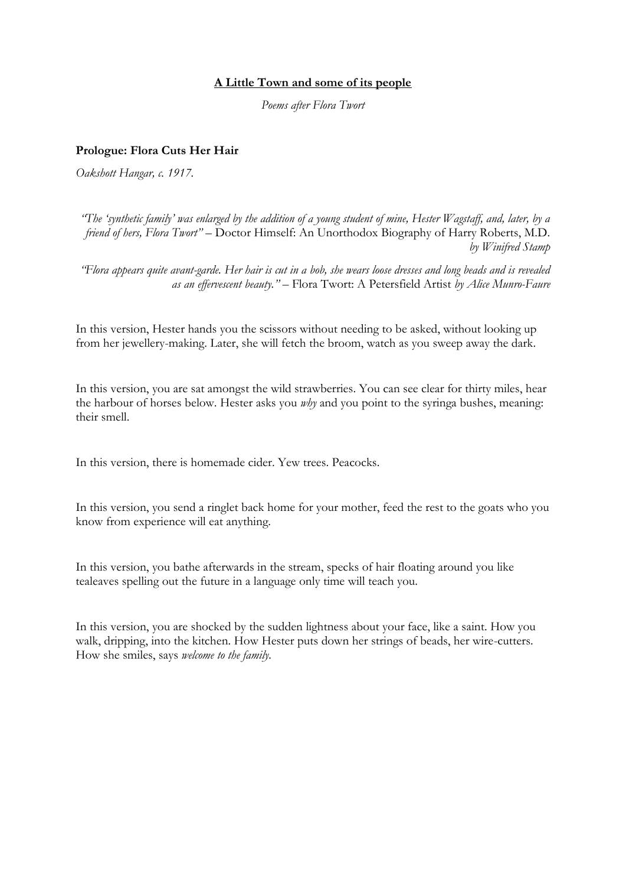# **A Little Town and some of its people**

*Poems after Flora Twort*

### **Prologue: Flora Cuts Her Hair**

*Oakshott Hangar, c. 1917.*

*"The 'synthetic family' was enlarged by the addition of a young student of mine, Hester Wagstaff, and, later, by a friend of hers, Flora Twort" –* Doctor Himself: An Unorthodox Biography of Harry Roberts, M.D. *by Winifred Stamp*

*"Flora appears quite avant-garde. Her hair is cut in a bob, she wears loose dresses and long beads and is revealed as an effervescent beauty." –* Flora Twort: A Petersfield Artist *by Alice Munro-Faure*

In this version, Hester hands you the scissors without needing to be asked, without looking up from her jewellery-making. Later, she will fetch the broom, watch as you sweep away the dark.

In this version, you are sat amongst the wild strawberries. You can see clear for thirty miles, hear the harbour of horses below. Hester asks you *why* and you point to the syringa bushes, meaning: their smell.

In this version, there is homemade cider. Yew trees. Peacocks.

In this version, you send a ringlet back home for your mother, feed the rest to the goats who you know from experience will eat anything.

In this version, you bathe afterwards in the stream, specks of hair floating around you like tealeaves spelling out the future in a language only time will teach you.

In this version, you are shocked by the sudden lightness about your face, like a saint. How you walk, dripping, into the kitchen. How Hester puts down her strings of beads, her wire-cutters. How she smiles, says *welcome to the family.*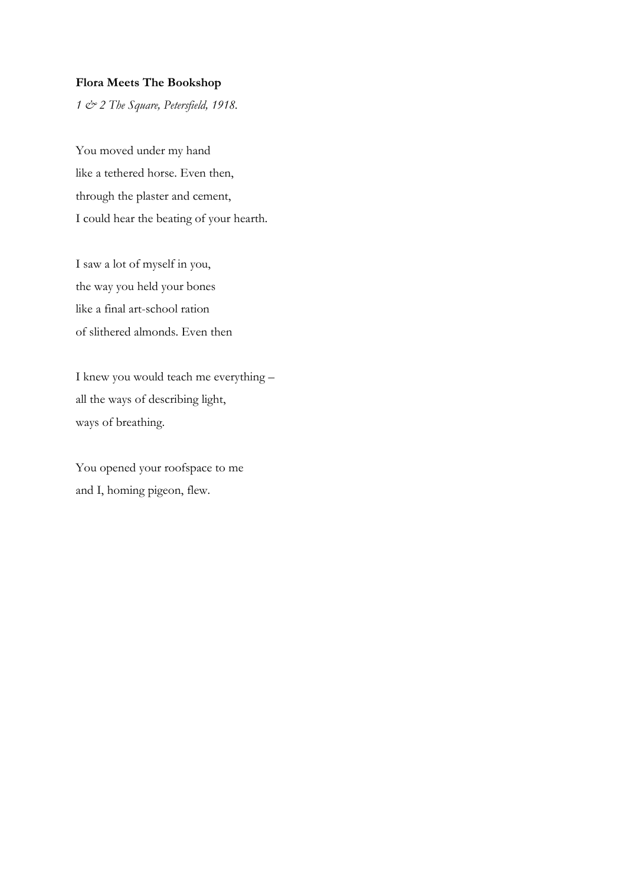### **Flora Meets The Bookshop**

*1 & 2 The Square, Petersfield, 1918.* 

You moved under my hand like a tethered horse. Even then, through the plaster and cement, I could hear the beating of your hearth.

I saw a lot of myself in you, the way you held your bones like a final art-school ration of slithered almonds. Even then

I knew you would teach me everything – all the ways of describing light, ways of breathing.

You opened your roofspace to me and I, homing pigeon, flew.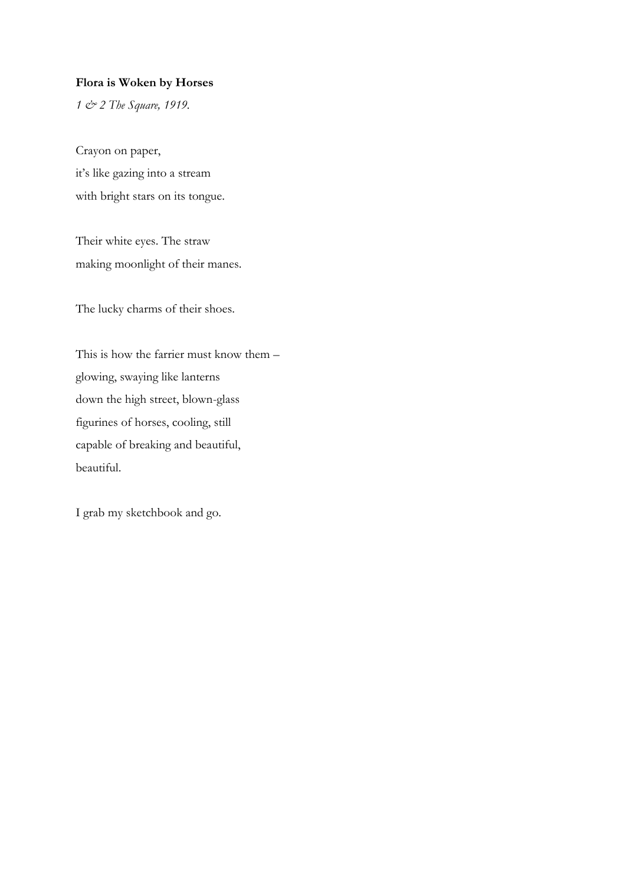### **Flora is Woken by Horses**

*1 & 2 The Square, 1919.* 

Crayon on paper, it's like gazing into a stream with bright stars on its tongue.

Their white eyes. The straw making moonlight of their manes.

The lucky charms of their shoes.

This is how the farrier must know them – glowing, swaying like lanterns down the high street, blown-glass figurines of horses, cooling, still capable of breaking and beautiful, beautiful.

I grab my sketchbook and go.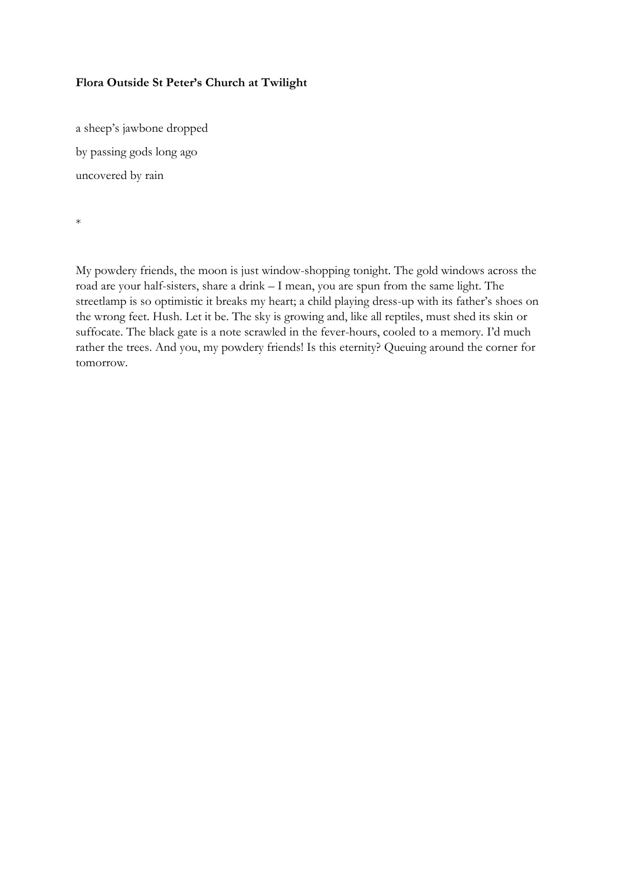# **Flora Outside St Peter's Church at Twilight**

a sheep's jawbone dropped by passing gods long ago uncovered by rain

\*

My powdery friends, the moon is just window-shopping tonight. The gold windows across the road are your half-sisters, share a drink – I mean, you are spun from the same light. The streetlamp is so optimistic it breaks my heart; a child playing dress-up with its father's shoes on the wrong feet. Hush. Let it be. The sky is growing and, like all reptiles, must shed its skin or suffocate. The black gate is a note scrawled in the fever-hours, cooled to a memory. I'd much rather the trees. And you, my powdery friends! Is this eternity? Queuing around the corner for tomorrow.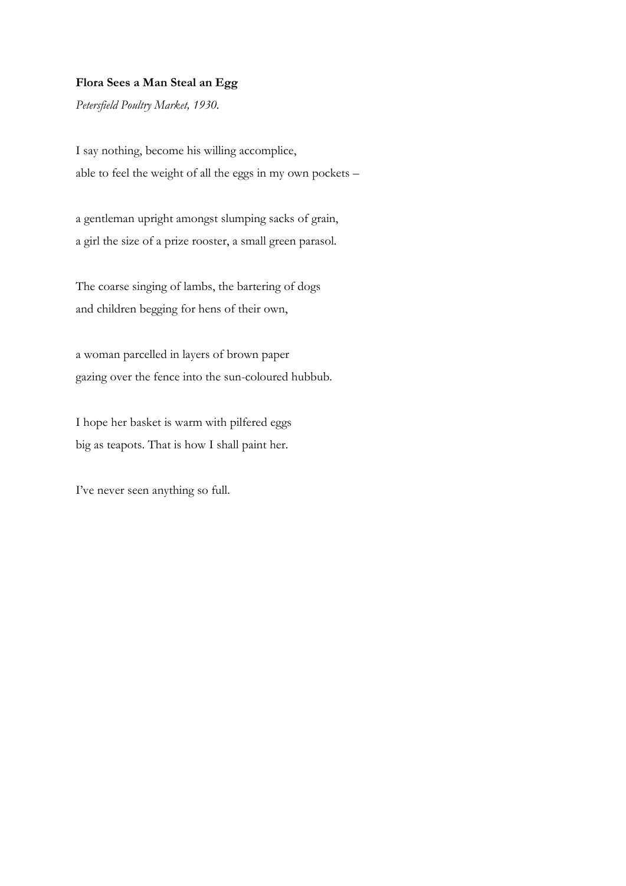# **Flora Sees a Man Steal an Egg**

*Petersfield Poultry Market, 1930.*

I say nothing, become his willing accomplice, able to feel the weight of all the eggs in my own pockets –

a gentleman upright amongst slumping sacks of grain, a girl the size of a prize rooster, a small green parasol.

The coarse singing of lambs, the bartering of dogs and children begging for hens of their own,

a woman parcelled in layers of brown paper gazing over the fence into the sun-coloured hubbub.

I hope her basket is warm with pilfered eggs big as teapots. That is how I shall paint her.

I've never seen anything so full.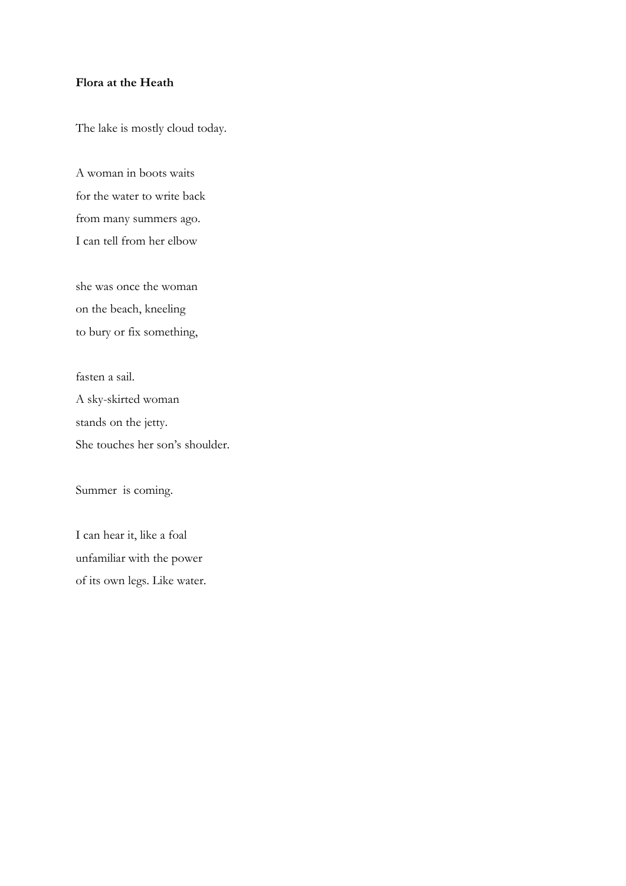### **Flora at the Heath**

The lake is mostly cloud today.

A woman in boots waits for the water to write back from many summers ago. I can tell from her elbow

she was once the woman on the beach, kneeling to bury or fix something,

fasten a sail. A sky-skirted woman stands on the jetty. She touches her son's shoulder.

Summer is coming.

I can hear it, like a foal unfamiliar with the power of its own legs. Like water.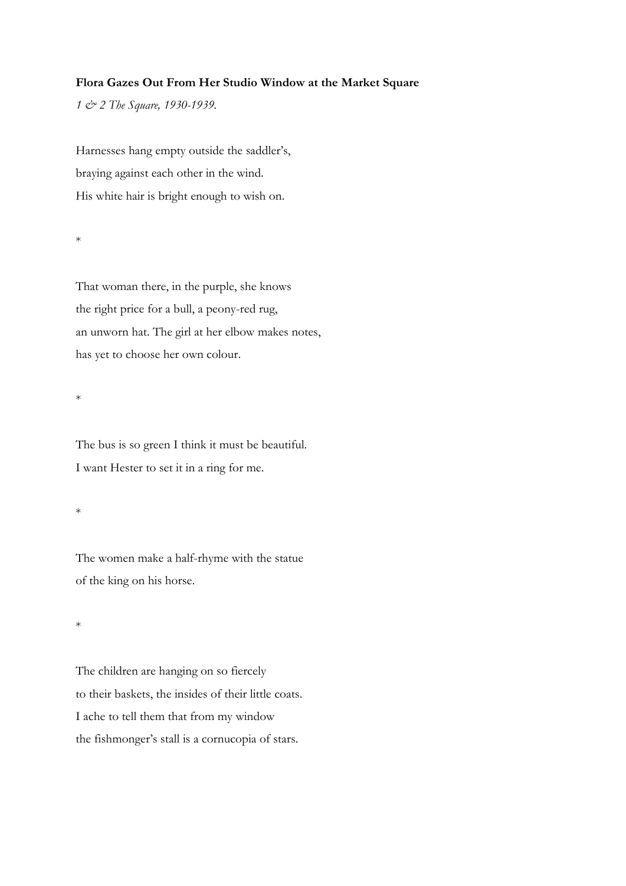### **Flora Gazes Out From Her Studio Window at the Market Square**

*1 & 2 The Square, 1930-1939.* 

Harnesses hang empty outside the saddler's, braying against each other in the wind. His white hair is bright enough to wish on.

\*

That woman there, in the purple, she knows the right price for a bull, a peony-red rug, an unworn hat. The girl at her elbow makes notes, has yet to choose her own colour.

\*

The bus is so green I think it must be beautiful. I want Hester to set it in a ring for me.

\*

The women make a half-rhyme with the statue of the king on his horse.

\*

The children are hanging on so fiercely to their baskets, the insides of their little coats. I ache to tell them that from my window the fishmonger's stall is a cornucopia of stars.